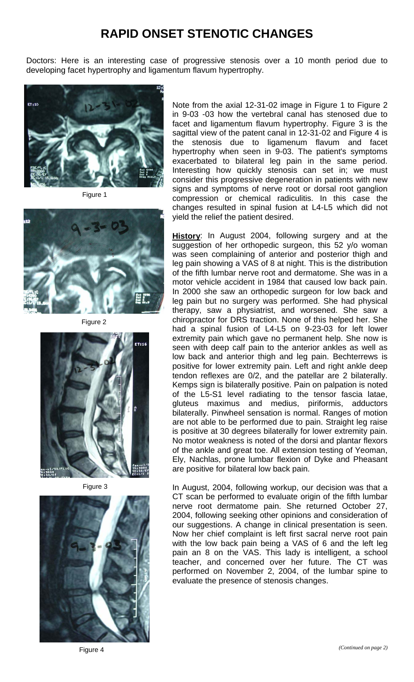## **RAPID ONSET STENOTIC CHANGES**

Doctors: Here is an interesting case of progressive stenosis over a 10 month period due to developing facet hypertrophy and ligamentum flavum hypertrophy.



Figure 1



Figure 2



Figure 3



Note from the axial 12-31-02 image in Figure 1 to Figure 2 in 9-03 -03 how the vertebral canal has stenosed due to facet and ligamentum flavum hypertrophy. Figure 3 is the sagittal view of the patent canal in 12-31-02 and Figure 4 is the stenosis due to ligamenum flavum and facet hypertrophy when seen in 9-03. The patient's symptoms exacerbated to bilateral leg pain in the same period. Interesting how quickly stenosis can set in; we must consider this progressive degeneration in patients with new signs and symptoms of nerve root or dorsal root ganglion compression or chemical radiculitis. In this case the changes resulted in spinal fusion at L4-L5 which did not yield the relief the patient desired.

**History**: In August 2004, following surgery and at the suggestion of her orthopedic surgeon, this 52 y/o woman was seen complaining of anterior and posterior thigh and leg pain showing a VAS of 8 at night. This is the distribution of the fifth lumbar nerve root and dermatome. She was in a motor vehicle accident in 1984 that caused low back pain. In 2000 she saw an orthopedic surgeon for low back and leg pain but no surgery was performed. She had physical therapy, saw a physiatrist, and worsened. She saw a chiropractor for DRS traction. None of this helped her. She had a spinal fusion of L4-L5 on 9-23-03 for left lower extremity pain which gave no permanent help. She now is seen with deep calf pain to the anterior ankles as well as low back and anterior thigh and leg pain. Bechterrews is positive for lower extremity pain. Left and right ankle deep tendon reflexes are 0/2, and the patellar are 2 bilaterally. Kemps sign is bilaterally positive. Pain on palpation is noted of the L5-S1 level radiating to the tensor fascia latae, gluteus maximus and medius, piriformis, adductors bilaterally. Pinwheel sensation is normal. Ranges of motion are not able to be performed due to pain. Straight leg raise is positive at 30 degrees bilaterally for lower extremity pain. No motor weakness is noted of the dorsi and plantar flexors of the ankle and great toe. All extension testing of Yeoman, Ely, Nachlas, prone lumbar flexion of Dyke and Pheasant are positive for bilateral low back pain.

In August, 2004, following workup, our decision was that a CT scan be performed to evaluate origin of the fifth lumbar nerve root dermatome pain. She returned October 27, 2004, following seeking other opinions and consideration of our suggestions. A change in clinical presentation is seen. Now her chief complaint is left first sacral nerve root pain with the low back pain being a VAS of 6 and the left leg pain an 8 on the VAS. This lady is intelligent, a school teacher, and concerned over her future. The CT was performed on November 2, 2004, of the lumbar spine to evaluate the presence of stenosis changes.

Figure 4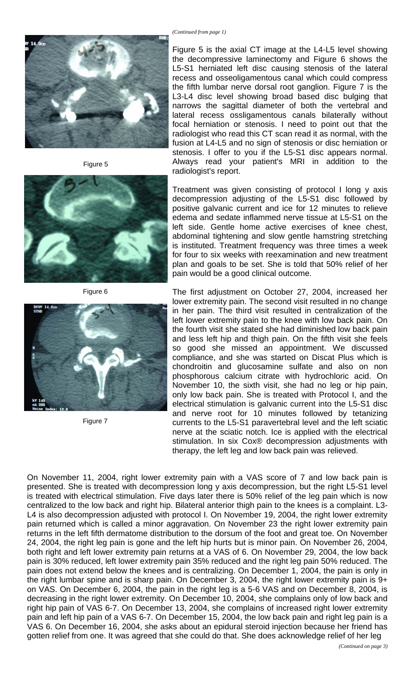

Figure 5



Figure 6



Figure 7

Figure 5 is the axial CT image at the L4-L5 level showing the decompressive laminectomy and Figure 6 shows the L5-S1 herniated left disc causing stenosis of the lateral recess and osseoligamentous canal which could compress the fifth lumbar nerve dorsal root ganglion. Figure 7 is the L3-L4 disc level showing broad based disc bulging that narrows the sagittal diameter of both the vertebral and lateral recess ossligamentous canals bilaterally without focal herniation or stenosis. I need to point out that the radiologist who read this CT scan read it as normal, with the fusion at L4-L5 and no sign of stenosis or disc herniation or stenosis. I offer to you if the L5-S1 disc appears normal. Always read your patient's MRI in addition to the radiologist's report.

Treatment was given consisting of protocol I long y axis decompression adjusting of the L5-S1 disc followed by positive galvanic current and ice for 12 minutes to relieve edema and sedate inflammed nerve tissue at L5-S1 on the left side. Gentle home active exercises of knee chest, abdominal tightening and slow gentle hamstring stretching is instituted. Treatment frequency was three times a week for four to six weeks with reexamination and new treatment plan and goals to be set. She is told that 50% relief of her pain would be a good clinical outcome.

The first adjustment on October 27, 2004, increased her lower extremity pain. The second visit resulted in no change in her pain. The third visit resulted in centralization of the left lower extremity pain to the knee with low back pain. On the fourth visit she stated she had diminished low back pain and less left hip and thigh pain. On the fifth visit she feels so good she missed an appointment. We discussed compliance, and she was started on Discat Plus which is chondroitin and glucosamine sulfate and also on non phosphorous calcium citrate with hydrochloric acid. On November 10, the sixth visit, she had no leg or hip pain, only low back pain. She is treated with Protocol I, and the electrical stimulation is galvanic current into the L5-S1 disc and nerve root for 10 minutes followed by tetanizing currents to the L5-S1 paravertebral level and the left sciatic nerve at the sciatic notch. Ice is applied with the electrical stimulation. In six Cox® decompression adjustments with therapy, the left leg and low back pain was relieved.

On November 11, 2004, right lower extremity pain with a VAS score of 7 and low back pain is presented. She is treated with decompression long y axis decompression, but the right L5-S1 level is treated with electrical stimulation. Five days later there is 50% relief of the leg pain which is now centralized to the low back and right hip. Bilateral anterior thigh pain to the knees is a complaint. L3- L4 is also decompression adjusted with protocol I. On November 19, 2004, the right lower extremity pain returned which is called a minor aggravation. On November 23 the right lower extremity pain returns in the left fifth dermatome distribution to the dorsum of the foot and great toe. On November 24, 2004, the right leg pain is gone and the left hip hurts but is minor pain. On November 26, 2004, both right and left lower extremity pain returns at a VAS of 6. On November 29, 2004, the low back pain is 30% reduced, left lower extremity pain 35% reduced and the right leg pain 50% reduced. The pain does not extend below the knees and is centralizing. On December 1, 2004, the pain is only in the right lumbar spine and is sharp pain. On December 3, 2004, the right lower extremity pain is 9+ on VAS. On December 6, 2004, the pain in the right leg is a 5-6 VAS and on December 8, 2004, is decreasing in the right lower extremity. On December 10, 2004, she complains only of low back and right hip pain of VAS 6-7. On December 13, 2004, she complains of increased right lower extremity pain and left hip pain of a VAS 6-7. On December 15, 2004, the low back pain and right leg pain is a VAS 6. On December 16, 2004, she asks about an epidural steroid injection because her friend has gotten relief from one. It was agreed that she could do that. She does acknowledge relief of her leg